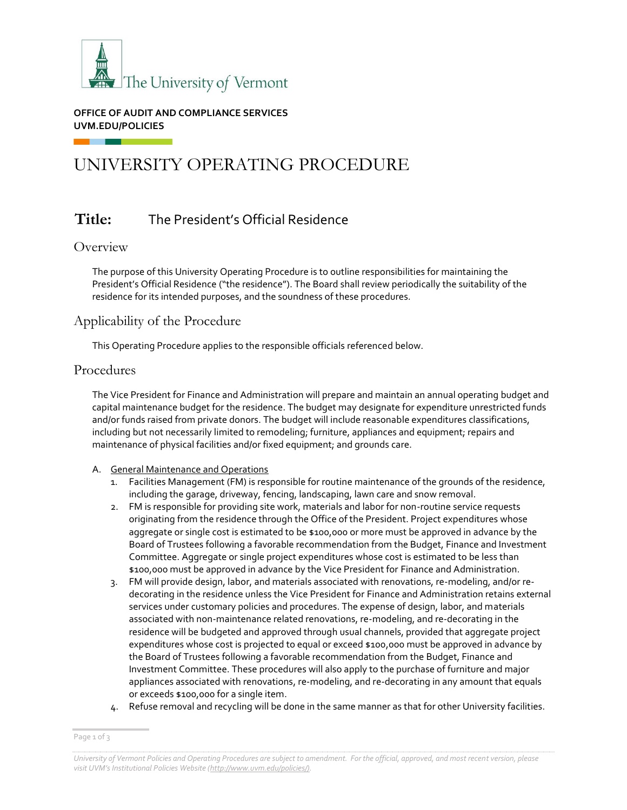

**OFFICE OF AUDIT AND COMPLIANCE SERVICES UVM.EDU/POLICIES**

# UNIVERSITY OPERATING PROCEDURE

# **Title:** The President's Official Residence

#### **Overview**

The purpose of this University Operating Procedure is to outline responsibilities for maintaining the President's Official Residence ("the residence"). The Board shall review periodically the suitability of the residence for its intended purposes, and the soundness of these procedures.

## Applicability of the Procedure

This Operating Procedure applies to the responsible officials referenced below.

#### Procedures

The Vice President for Finance and Administration will prepare and maintain an annual operating budget and capital maintenance budget for the residence. The budget may designate for expenditure unrestricted funds and/or funds raised from private donors. The budget will include reasonable expenditures classifications, including but not necessarily limited to remodeling; furniture, appliances and equipment; repairs and maintenance of physical facilities and/or fixed equipment; and grounds care.

#### A. General Maintenance and Operations

- 1. Facilities Management (FM) is responsible for routine maintenance of the grounds of the residence, including the garage, driveway, fencing, landscaping, lawn care and snow removal.
- 2. FM is responsible for providing site work, materials and labor for non-routine service requests originating from the residence through the Office of the President. Project expenditures whose aggregate or single cost is estimated to be \$100,000 or more must be approved in advance by the Board of Trustees following a favorable recommendation from the Budget, Finance and Investment Committee. Aggregate or single project expenditures whose cost is estimated to be less than \$100,000 must be approved in advance by the Vice President for Finance and Administration.
- 3. FM will provide design, labor, and materials associated with renovations, re-modeling, and/or redecorating in the residence unless the Vice President for Finance and Administration retains external services under customary policies and procedures. The expense of design, labor, and materials associated with non-maintenance related renovations, re-modeling, and re-decorating in the residence will be budgeted and approved through usual channels, provided that aggregate project expenditures whose cost is projected to equal or exceed \$100,000 must be approved in advance by the Board of Trustees following a favorable recommendation from the Budget, Finance and Investment Committee. These procedures will also apply to the purchase of furniture and major appliances associated with renovations, re-modeling, and re-decorating in any amount that equals or exceeds \$100,000 for a single item.
- 4. Refuse removal and recycling will be done in the same manner as that for other University facilities.

Page 1 of 3

*University of Vermont Policies and Operating Procedures are subject to amendment. For the official, approved, and most recent version, please visit UVM's Institutional Policies Website [\(http://www.uvm.edu/policies/\).](http://www.uvm.edu/policies/))*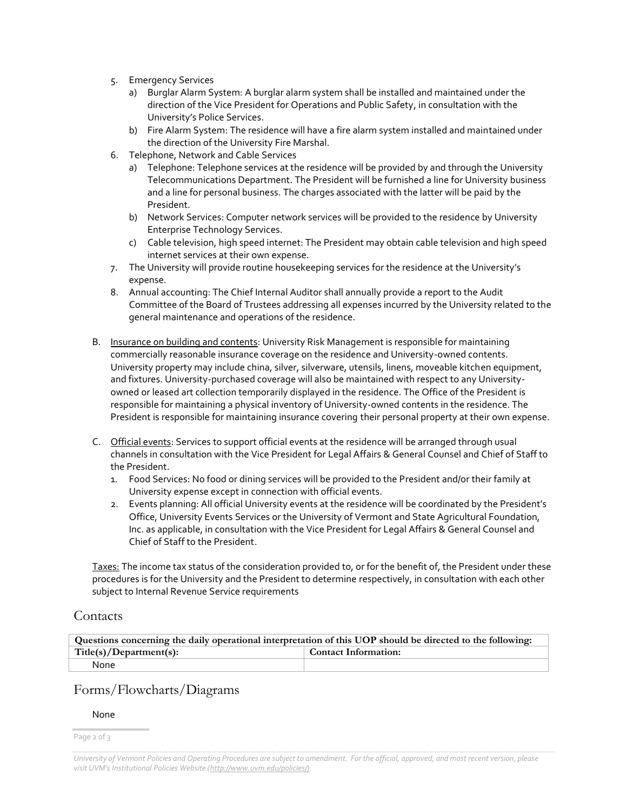- 5. Emergency Services
	- a) Burglar Alarm System: A burglar alarm system shall be installed and maintained under the direction of the Vice President for Operations and Public Safety, in consultation with the University's Police Services.
	- b) Fire Alarm System: The residence will have a fire alarm system installed and maintained under the direction of the University Fire Marshal.
- 6. Telephone, Network and Cable Services
	- a) Telephone: Telephone services at the residence will be provided by and through the University Telecommunications Department. The President will be furnished a line for University business and a line for personal business. The charges associated with the latter will be paid by the President.
	- b) Network Services: Computer network services will be provided to the residence by University Enterprise Technology Services.
	- c) Cable television, high speed internet: The President may obtain cable television and high speed internet services at their own expense.
- 7. The University will provide routine housekeeping services for the residence at the University's expense.
- 8. Annual accounting: The Chief Internal Auditor shall annually provide a report to the Audit Committee of the Board of Trustees addressing all expenses incurred by the University related to the general maintenance and operations of the residence.
- B. Insurance on building and contents: University Risk Management is responsible for maintaining commercially reasonable insurance coverage on the residence and University-owned contents. University property may include china, silver, silverware, utensils, linens, moveable kitchen equipment, and fixtures. University-purchased coverage will also be maintained with respect to any Universityowned or leased art collection temporarily displayed in the residence. The Office of the President is responsible for maintaining a physical inventory of University-owned contents in the residence. The President is responsible for maintaining insurance covering their personal property at their own expense.
- C. Official events: Services to support official events at the residence will be arranged through usual channels in consultation with the Vice President for Legal Affairs & General Counsel and Chief of Staff to the President.
	- 1. Food Services: No food or dining services will be provided to the President and/or their family at University expense except in connection with official events.
	- 2. Events planning: All official University events at the residence will be coordinated by the President's Office, University Events Services or the University of Vermont and State Agricultural Foundation, Inc. as applicable, in consultation with the Vice President for Legal Affairs & General Counsel and Chief of Staff to the President.

Taxes: The income tax status of the consideration provided to, or for the benefit of, the President under these procedures is for the University and the President to determine respectively, in consultation with each other subject to Internal Revenue Service requirements

### **Contacts**

| Questions concerning the daily operational interpretation of this UOP should be directed to the following: |                             |  |  |
|------------------------------------------------------------------------------------------------------------|-----------------------------|--|--|
| Title(s)/Department(s):                                                                                    | <b>Contact Information:</b> |  |  |
| None                                                                                                       |                             |  |  |

## Forms/Flowcharts/Diagrams

#### None

Page 2 of 3

*University of Vermont Policies and Operating Procedures are subject to amendment. For the official, approved, and most recent version, please visit UVM's Institutional Policies Website ([http://www.uvm.edu/policies/\).](http://www.uvm.edu/policies/))*